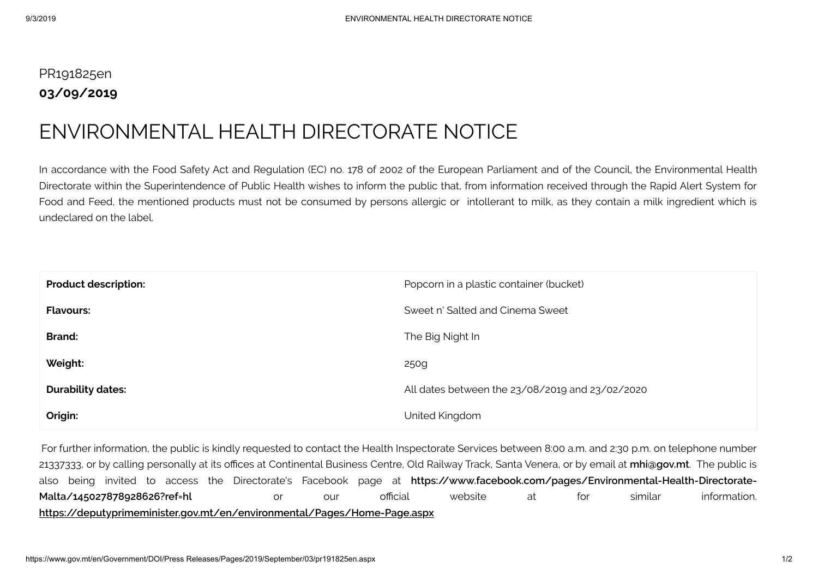## PR191825en **03/09/2019**

## ENVIRONMENTAL HEALTH DIRECTORATE NOTICE

In accordance with the Food Safety Act and Regulation (EC) no. 178 of 2002 of the European Parliament and of the Council, the Environmental Health Directorate within the Superintendence of Public Health wishes to inform the public that, from information received through the Rapid Alert System for Food and Feed, the mentioned products must not be consumed by persons allergic or intollerant to milk, as they contain a milk ingredient which is undeclared on the label.

| <b>Product description:</b> | Popcorn in a plastic container (bucket)         |
|-----------------------------|-------------------------------------------------|
| <b>Flavours:</b>            | Sweet n' Salted and Cinema Sweet                |
| <b>Brand:</b>               | The Big Night In                                |
| Weight:                     | 250g                                            |
| <b>Durability dates:</b>    | All dates between the 23/08/2019 and 23/02/2020 |
| Origin:                     | United Kingdom                                  |

For further information, the public is kindly requested to contact the Health Inspectorate Services between 8:00 a.m. and 2:30 p.m. on telephone number 21337333, or by calling personally at its offices at Continental Business Centre, Old Railway Track, Santa Venera, or by email at *[mhi@gov.mt](mailto:mhi@gov.mt)*. The public is also being invited to access the Directorate's Facebook page at **[https://www.facebook.com/pages/Environmental-Health-Directorate-](https://www.facebook.com/pages/Environmental-Health-Directorate-Malta/145027878928626?ref=hl)Malta/145027878928626?ref=hl** or our official website at for similar information. **<https://deputyprimeminister.gov.mt/en/environmental/Pages/Home-Page.aspx>**